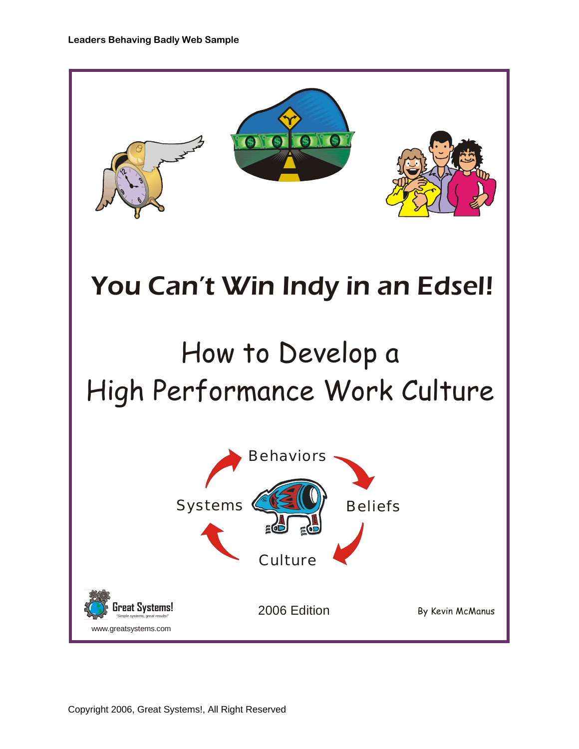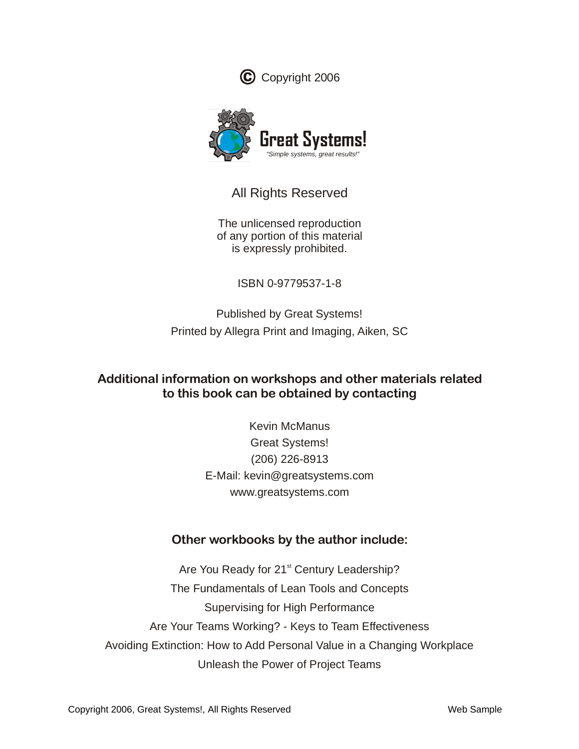



# All Rights Reserved

The unlicensed reproduction of any portion of this material is expressly prohibited.

ISBN 0-9779537-1-8

Published by Great Systems! Printed by Allegra Print and Imaging, Aiken, SC

## **Additional information on workshops and other materials related to this book can be obtained by contacting**

Kevin McManus Great Systems! (206) 226-8913 E-Mail: kevin@greatsystems.com www.greatsystems.com

# **Other workbooks by the author include:**

Are You Ready for 21<sup>st</sup> Century Leadership? The Fundamentals of Lean Tools and Concepts Supervising for High Performance Are Your Teams Working? - Keys to Team Effectiveness Avoiding Extinction: How to Add Personal Value in a Changing Workplace Unleash the Power of Project Teams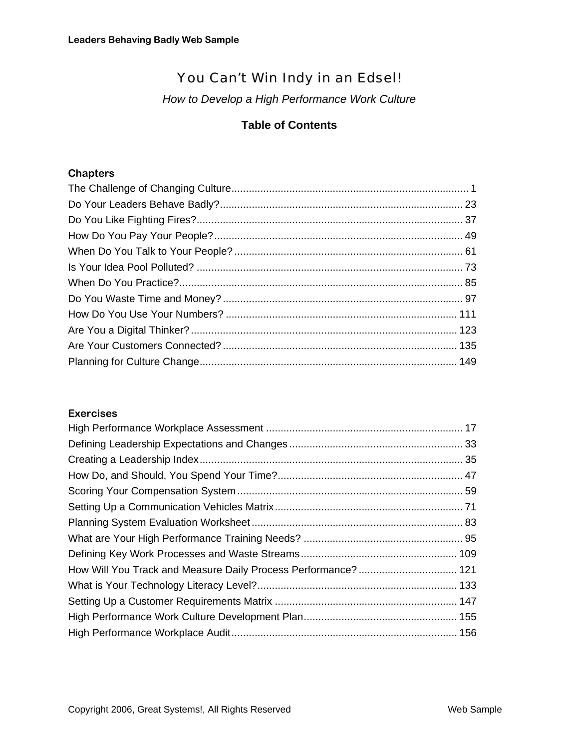# You Can't Win Indy in an Edsel!

*How to Develop a High Performance Work Culture*

### **Table of Contents**

## **Chapters**

### **Exercises**

| How Will You Track and Measure Daily Process Performance?  121 |  |
|----------------------------------------------------------------|--|
|                                                                |  |
|                                                                |  |
|                                                                |  |
|                                                                |  |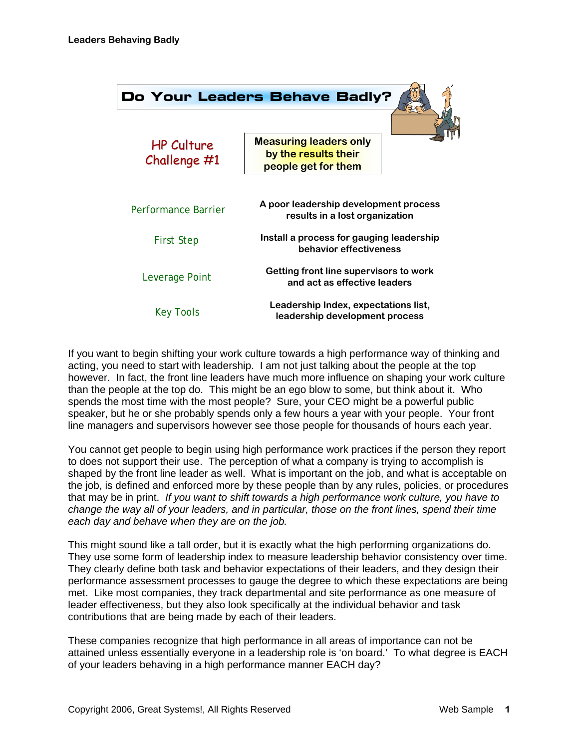

If you want to begin shifting your work culture towards a high performance way of thinking and acting, you need to start with leadership. I am not just talking about the people at the top however. In fact, the front line leaders have much more influence on shaping your work culture than the people at the top do. This might be an ego blow to some, but think about it. Who spends the most time with the most people? Sure, your CEO might be a powerful public speaker, but he or she probably spends only a few hours a year with your people. Your front line managers and supervisors however see those people for thousands of hours each year.

You cannot get people to begin using high performance work practices if the person they report to does not support their use. The perception of what a company is trying to accomplish is shaped by the front line leader as well. What is important on the job, and what is acceptable on the job, is defined and enforced more by these people than by any rules, policies, or procedures that may be in print. *If you want to shift towards a high performance work culture, you have to change the way all of your leaders, and in particular, those on the front lines, spend their time each day and behave when they are on the job.*

This might sound like a tall order, but it is exactly what the high performing organizations do. They use some form of leadership index to measure leadership behavior consistency over time. They clearly define both task and behavior expectations of their leaders, and they design their performance assessment processes to gauge the degree to which these expectations are being met. Like most companies, they track departmental and site performance as one measure of leader effectiveness, but they also look specifically at the individual behavior and task contributions that are being made by each of their leaders.

These companies recognize that high performance in all areas of importance can not be attained unless essentially everyone in a leadership role is 'on board.' To what degree is EACH of your leaders behaving in a high performance manner EACH day?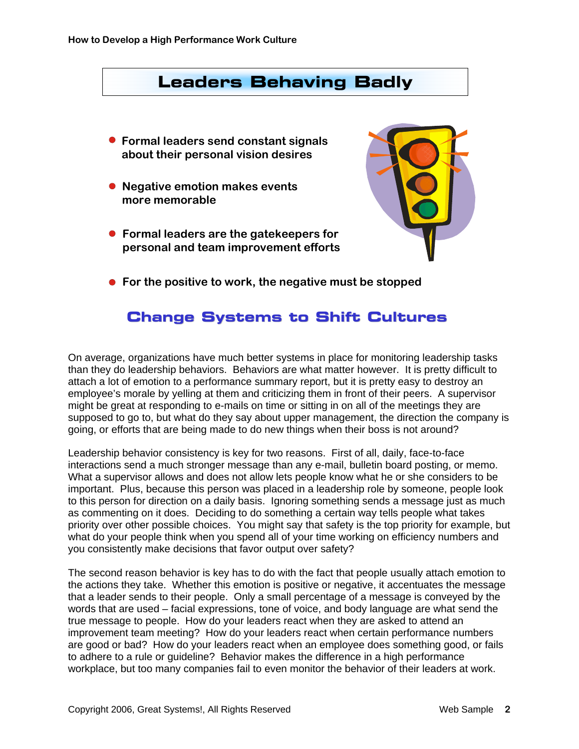

# **Change Systems to Shift Cultures**

On average, organizations have much better systems in place for monitoring leadership tasks than they do leadership behaviors. Behaviors are what matter however. It is pretty difficult to attach a lot of emotion to a performance summary report, but it is pretty easy to destroy an employee's morale by yelling at them and criticizing them in front of their peers. A supervisor might be great at responding to e-mails on time or sitting in on all of the meetings they are supposed to go to, but what do they say about upper management, the direction the company is going, or efforts that are being made to do new things when their boss is not around?

Leadership behavior consistency is key for two reasons. First of all, daily, face-to-face interactions send a much stronger message than any e-mail, bulletin board posting, or memo. What a supervisor allows and does not allow lets people know what he or she considers to be important. Plus, because this person was placed in a leadership role by someone, people look to this person for direction on a daily basis. Ignoring something sends a message just as much as commenting on it does. Deciding to do something a certain way tells people what takes priority over other possible choices. You might say that safety is the top priority for example, but what do your people think when you spend all of your time working on efficiency numbers and you consistently make decisions that favor output over safety?

The second reason behavior is key has to do with the fact that people usually attach emotion to the actions they take. Whether this emotion is positive or negative, it accentuates the message that a leader sends to their people. Only a small percentage of a message is conveyed by the words that are used – facial expressions, tone of voice, and body language are what send the true message to people. How do your leaders react when they are asked to attend an improvement team meeting? How do your leaders react when certain performance numbers are good or bad? How do your leaders react when an employee does something good, or fails to adhere to a rule or guideline? Behavior makes the difference in a high performance workplace, but too many companies fail to even monitor the behavior of their leaders at work.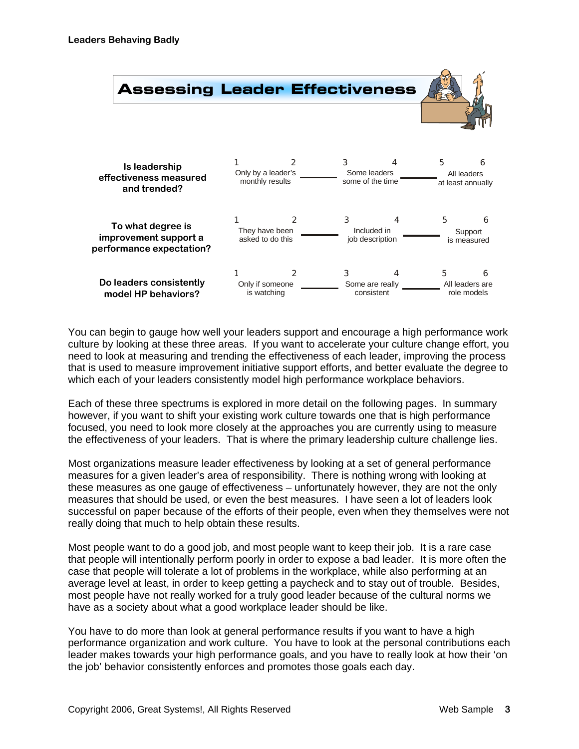

You can begin to gauge how well your leaders support and encourage a high performance work culture by looking at these three areas. If you want to accelerate your culture change effort, you need to look at measuring and trending the effectiveness of each leader, improving the process that is used to measure improvement initiative support efforts, and better evaluate the degree to which each of your leaders consistently model high performance workplace behaviors.

Each of these three spectrums is explored in more detail on the following pages. In summary however, if you want to shift your existing work culture towards one that is high performance focused, you need to look more closely at the approaches you are currently using to measure the effectiveness of your leaders. That is where the primary leadership culture challenge lies.

Most organizations measure leader effectiveness by looking at a set of general performance measures for a given leader's area of responsibility. There is nothing wrong with looking at these measures as one gauge of effectiveness – unfortunately however, they are not the only measures that should be used, or even the best measures. I have seen a lot of leaders look successful on paper because of the efforts of their people, even when they themselves were not really doing that much to help obtain these results.

Most people want to do a good job, and most people want to keep their job. It is a rare case that people will intentionally perform poorly in order to expose a bad leader. It is more often the case that people will tolerate a lot of problems in the workplace, while also performing at an average level at least, in order to keep getting a paycheck and to stay out of trouble. Besides, most people have not really worked for a truly good leader because of the cultural norms we have as a society about what a good workplace leader should be like.

You have to do more than look at general performance results if you want to have a high performance organization and work culture. You have to look at the personal contributions each leader makes towards your high performance goals, and you have to really look at how their 'on the job' behavior consistently enforces and promotes those goals each day.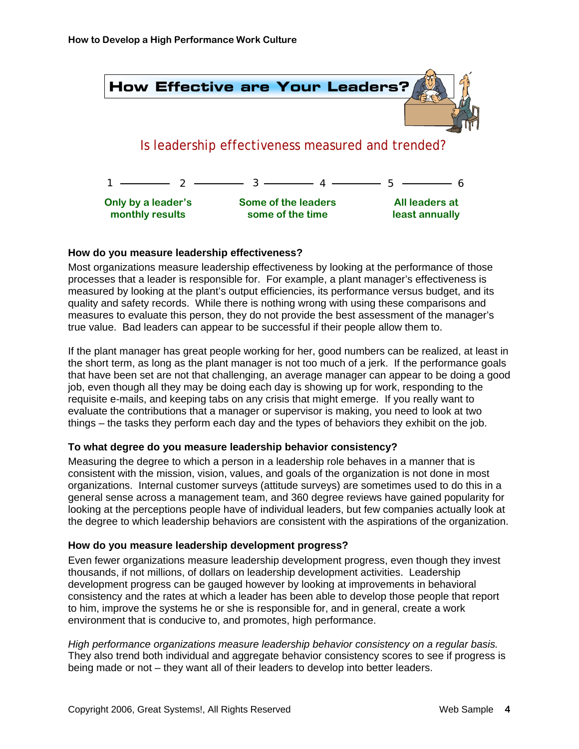

#### **How do you measure leadership effectiveness?**

Most organizations measure leadership effectiveness by looking at the performance of those processes that a leader is responsible for. For example, a plant manager's effectiveness is measured by looking at the plant's output efficiencies, its performance versus budget, and its quality and safety records. While there is nothing wrong with using these comparisons and measures to evaluate this person, they do not provide the best assessment of the manager's true value. Bad leaders can appear to be successful if their people allow them to.

If the plant manager has great people working for her, good numbers can be realized, at least in the short term, as long as the plant manager is not too much of a jerk. If the performance goals that have been set are not that challenging, an average manager can appear to be doing a good job, even though all they may be doing each day is showing up for work, responding to the requisite e-mails, and keeping tabs on any crisis that might emerge. If you really want to evaluate the contributions that a manager or supervisor is making, you need to look at two things – the tasks they perform each day and the types of behaviors they exhibit on the job.

#### **To what degree do you measure leadership behavior consistency?**

Measuring the degree to which a person in a leadership role behaves in a manner that is consistent with the mission, vision, values, and goals of the organization is not done in most organizations. Internal customer surveys (attitude surveys) are sometimes used to do this in a general sense across a management team, and 360 degree reviews have gained popularity for looking at the perceptions people have of individual leaders, but few companies actually look at the degree to which leadership behaviors are consistent with the aspirations of the organization.

#### **How do you measure leadership development progress?**

Even fewer organizations measure leadership development progress, even though they invest thousands, if not millions, of dollars on leadership development activities. Leadership development progress can be gauged however by looking at improvements in behavioral consistency and the rates at which a leader has been able to develop those people that report to him, improve the systems he or she is responsible for, and in general, create a work environment that is conducive to, and promotes, high performance.

*High performance organizations measure leadership behavior consistency on a regular basis.* They also trend both individual and aggregate behavior consistency scores to see if progress is being made or not – they want all of their leaders to develop into better leaders.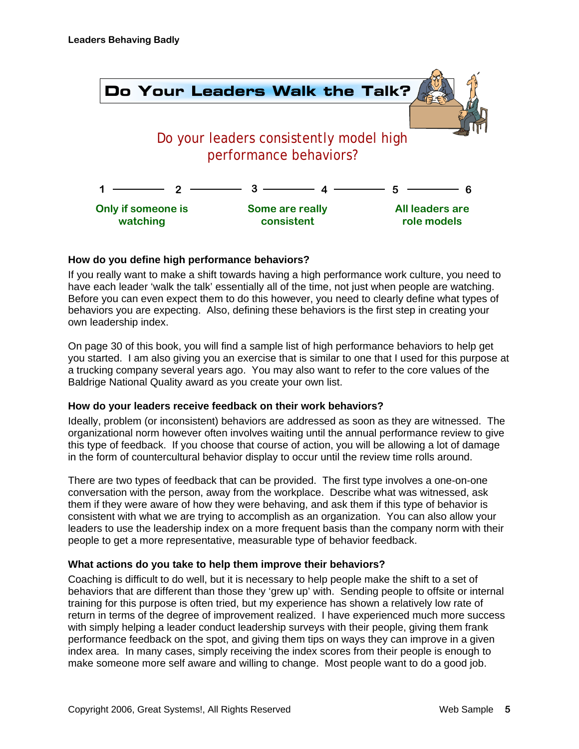

#### **How do you define high performance behaviors?**

If you really want to make a shift towards having a high performance work culture, you need to have each leader 'walk the talk' essentially all of the time, not just when people are watching. Before you can even expect them to do this however, you need to clearly define what types of behaviors you are expecting. Also, defining these behaviors is the first step in creating your own leadership index.

On page 30 of this book, you will find a sample list of high performance behaviors to help get you started. I am also giving you an exercise that is similar to one that I used for this purpose at a trucking company several years ago. You may also want to refer to the core values of the Baldrige National Quality award as you create your own list.

#### **How do your leaders receive feedback on their work behaviors?**

Ideally, problem (or inconsistent) behaviors are addressed as soon as they are witnessed. The organizational norm however often involves waiting until the annual performance review to give this type of feedback. If you choose that course of action, you will be allowing a lot of damage in the form of countercultural behavior display to occur until the review time rolls around.

There are two types of feedback that can be provided. The first type involves a one-on-one conversation with the person, away from the workplace. Describe what was witnessed, ask them if they were aware of how they were behaving, and ask them if this type of behavior is consistent with what we are trying to accomplish as an organization. You can also allow your leaders to use the leadership index on a more frequent basis than the company norm with their people to get a more representative, measurable type of behavior feedback.

#### **What actions do you take to help them improve their behaviors?**

Coaching is difficult to do well, but it is necessary to help people make the shift to a set of behaviors that are different than those they 'grew up' with. Sending people to offsite or internal training for this purpose is often tried, but my experience has shown a relatively low rate of return in terms of the degree of improvement realized. I have experienced much more success with simply helping a leader conduct leadership surveys with their people, giving them frank performance feedback on the spot, and giving them tips on ways they can improve in a given index area. In many cases, simply receiving the index scores from their people is enough to make someone more self aware and willing to change. Most people want to do a good job.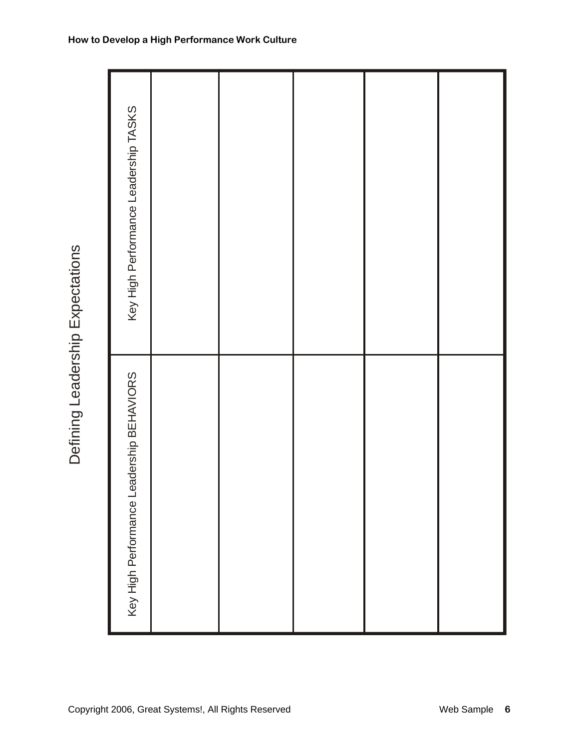| Key High Performance Leadership TASKS        |  |  |  |
|----------------------------------------------|--|--|--|
| -eadership BEHAVIORS<br>Key High Performance |  |  |  |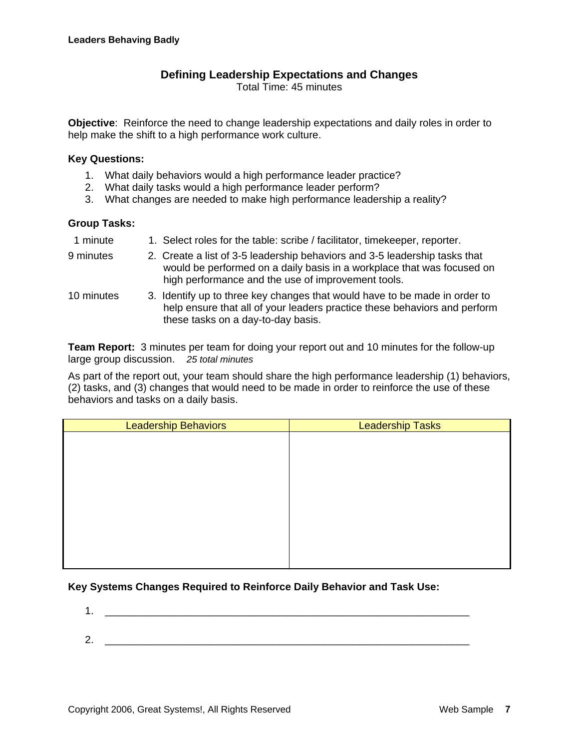### **Defining Leadership Expectations and Changes**

Total Time: 45 minutes

**Objective**: Reinforce the need to change leadership expectations and daily roles in order to help make the shift to a high performance work culture.

#### **Key Questions:**

- 1. What daily behaviors would a high performance leader practice?
- 2. What daily tasks would a high performance leader perform?
- 3. What changes are needed to make high performance leadership a reality?

#### **Group Tasks:**

- 1 minute 1. Select roles for the table: scribe / facilitator, timekeeper, reporter.
- 9 minutes 2. Create a list of 3-5 leadership behaviors and 3-5 leadership tasks that would be performed on a daily basis in a workplace that was focused on high performance and the use of improvement tools.
- 10 minutes 3. Identify up to three key changes that would have to be made in order to help ensure that all of your leaders practice these behaviors and perform these tasks on a day-to-day basis.

**Team Report:** 3 minutes per team for doing your report out and 10 minutes for the follow-up large group discussion. *25 total minutes*

As part of the report out, your team should share the high performance leadership (1) behaviors, (2) tasks, and (3) changes that would need to be made in order to reinforce the use of these behaviors and tasks on a daily basis.

| <b>Leadership Behaviors</b> | <b>Leadership Tasks</b> |
|-----------------------------|-------------------------|
|                             |                         |
|                             |                         |
|                             |                         |
|                             |                         |
|                             |                         |
|                             |                         |
|                             |                         |
|                             |                         |
|                             |                         |
|                             |                         |

### **Key Systems Changes Required to Reinforce Daily Behavior and Task Use:**

1.  $\qquad \qquad$  $2.$